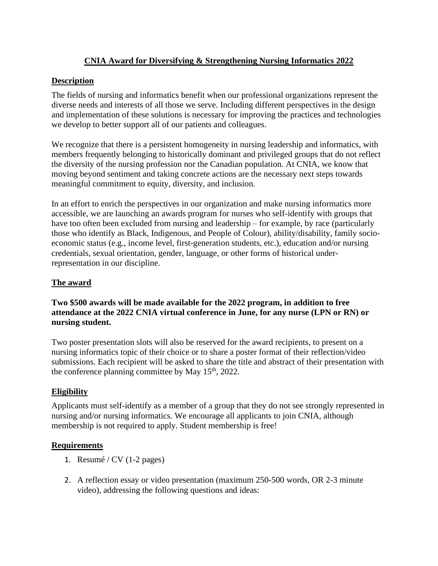# **CNIA Award for Diversifying & Strengthening Nursing Informatics 2022**

#### **Description**

The fields of nursing and informatics benefit when our professional organizations represent the diverse needs and interests of all those we serve. Including different perspectives in the design and implementation of these solutions is necessary for improving the practices and technologies we develop to better support all of our patients and colleagues.

We recognize that there is a persistent homogeneity in nursing leadership and informatics, with members frequently belonging to historically dominant and privileged groups that do not reflect the diversity of the nursing profession nor the Canadian population. At CNIA, we know that moving beyond sentiment and taking concrete actions are the necessary next steps towards meaningful commitment to equity, diversity, and inclusion.

In an effort to enrich the perspectives in our organization and make nursing informatics more accessible, we are launching an awards program for nurses who self-identify with groups that have too often been excluded from nursing and leadership – for example, by race (particularly those who identify as Black, Indigenous, and People of Colour), ability/disability, family socioeconomic status (e.g., income level, first-generation students, etc.), education and/or nursing credentials, sexual orientation, gender, language, or other forms of historical underrepresentation in our discipline.

### **The award**

### **Two \$500 awards will be made available for the 2022 program, in addition to free attendance at the 2022 CNIA virtual conference in June, for any nurse (LPN or RN) or nursing student.**

Two poster presentation slots will also be reserved for the award recipients, to present on a nursing informatics topic of their choice or to share a poster format of their reflection/video submissions. Each recipient will be asked to share the title and abstract of their presentation with the conference planning committee by May  $15<sup>th</sup>$ , 2022.

### **Eligibility**

Applicants must self-identify as a member of a group that they do not see strongly represented in nursing and/or nursing informatics. We encourage all applicants to join CNIA, although membership is not required to apply. Student membership is free!

### **Requirements**

- 1. Resumé /  $CV(1-2$  pages)
- 2. A reflection essay or video presentation (maximum 250-500 words, OR 2-3 minute video), addressing the following questions and ideas: